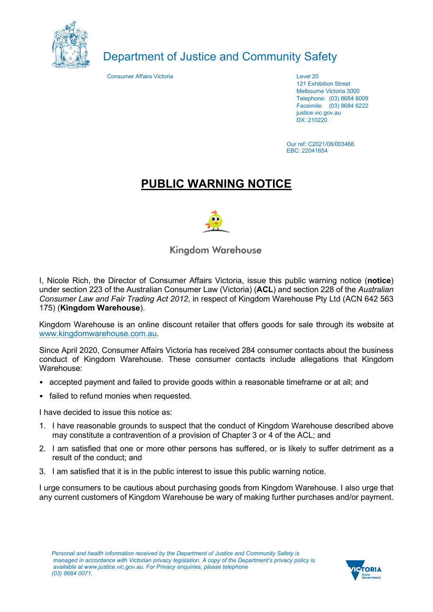

## Department of Justice and Community Safety

**Consumer Affairs Victoria** Level 20

121 Exhibition Street Melbourne Victoria 3000 Telephone: (03) 8684 6009 Facsimile: (03) 8684 6222 justice.vic.gov.au DX: 210220

Our ref: C2021/06/003466 EBC: 22041654

## **PUBLIC WARNING NOTICE**



Kingdom Warehouse

I, Nicole Rich, the Director of Consumer Affairs Victoria, issue this public warning notice (**notice**) under section 223 of the Australian Consumer Law (Victoria) (**ACL**) and section 228 of the *Australian Consumer Law and Fair Trading Act 2012*, in respect of Kingdom Warehouse Pty Ltd (ACN 642 563 175) (**Kingdom Warehouse**).

Kingdom Warehouse is an online discount retailer that offers goods for sale through its website at www.kingdomwarehouse.com.au.

Since April 2020, Consumer Affairs Victoria has received 284 consumer contacts about the business conduct of Kingdom Warehouse. These consumer contacts include allegations that Kingdom Warehouse:

- accepted payment and failed to provide goods within a reasonable timeframe or at all; and
- failed to refund monies when requested.

I have decided to issue this notice as:

- 1. I have reasonable grounds to suspect that the conduct of Kingdom Warehouse described above may constitute a contravention of a provision of Chapter 3 or 4 of the ACL; and
- 2. I am satisfied that one or more other persons has suffered, or is likely to suffer detriment as a result of the conduct; and
- 3. I am satisfied that it is in the public interest to issue this public warning notice.

I urge consumers to be cautious about purchasing goods from Kingdom Warehouse. I also urge that any current customers of Kingdom Warehouse be wary of making further purchases and/or payment.